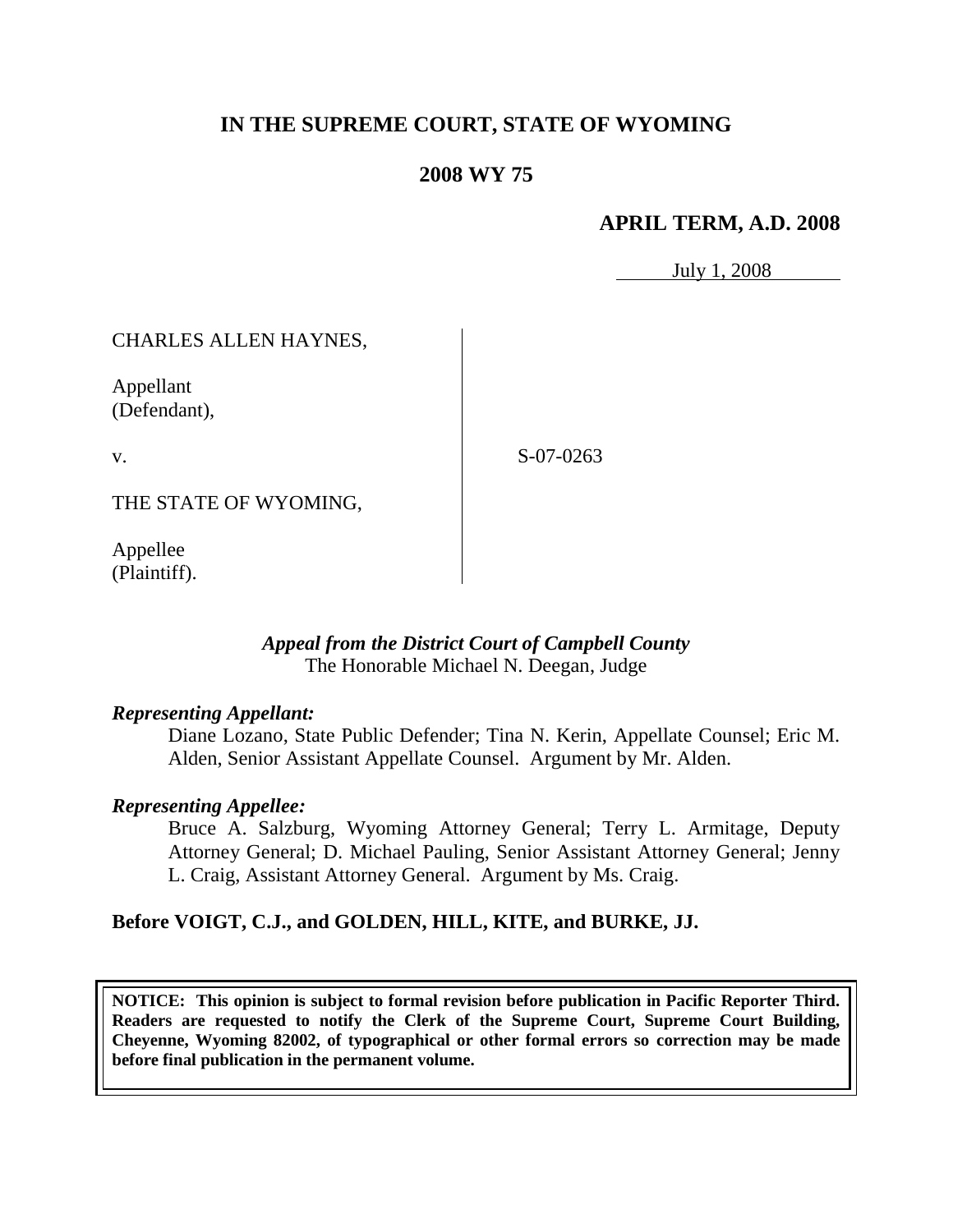# **IN THE SUPREME COURT, STATE OF WYOMING**

# **2008 WY 75**

## **APRIL TERM, A.D. 2008**

July 1, 2008

## CHARLES ALLEN HAYNES,

Appellant (Defendant),

v.

S-07-0263

THE STATE OF WYOMING,

Appellee (Plaintiff).

#### *Appeal from the District Court of Campbell County* The Honorable Michael N. Deegan, Judge

#### *Representing Appellant:*

Diane Lozano, State Public Defender; Tina N. Kerin, Appellate Counsel; Eric M. Alden, Senior Assistant Appellate Counsel. Argument by Mr. Alden.

#### *Representing Appellee:*

Bruce A. Salzburg, Wyoming Attorney General; Terry L. Armitage, Deputy Attorney General; D. Michael Pauling, Senior Assistant Attorney General; Jenny L. Craig, Assistant Attorney General. Argument by Ms. Craig.

#### **Before VOIGT, C.J., and GOLDEN, HILL, KITE, and BURKE, JJ.**

**NOTICE: This opinion is subject to formal revision before publication in Pacific Reporter Third. Readers are requested to notify the Clerk of the Supreme Court, Supreme Court Building, Cheyenne, Wyoming 82002, of typographical or other formal errors so correction may be made before final publication in the permanent volume.**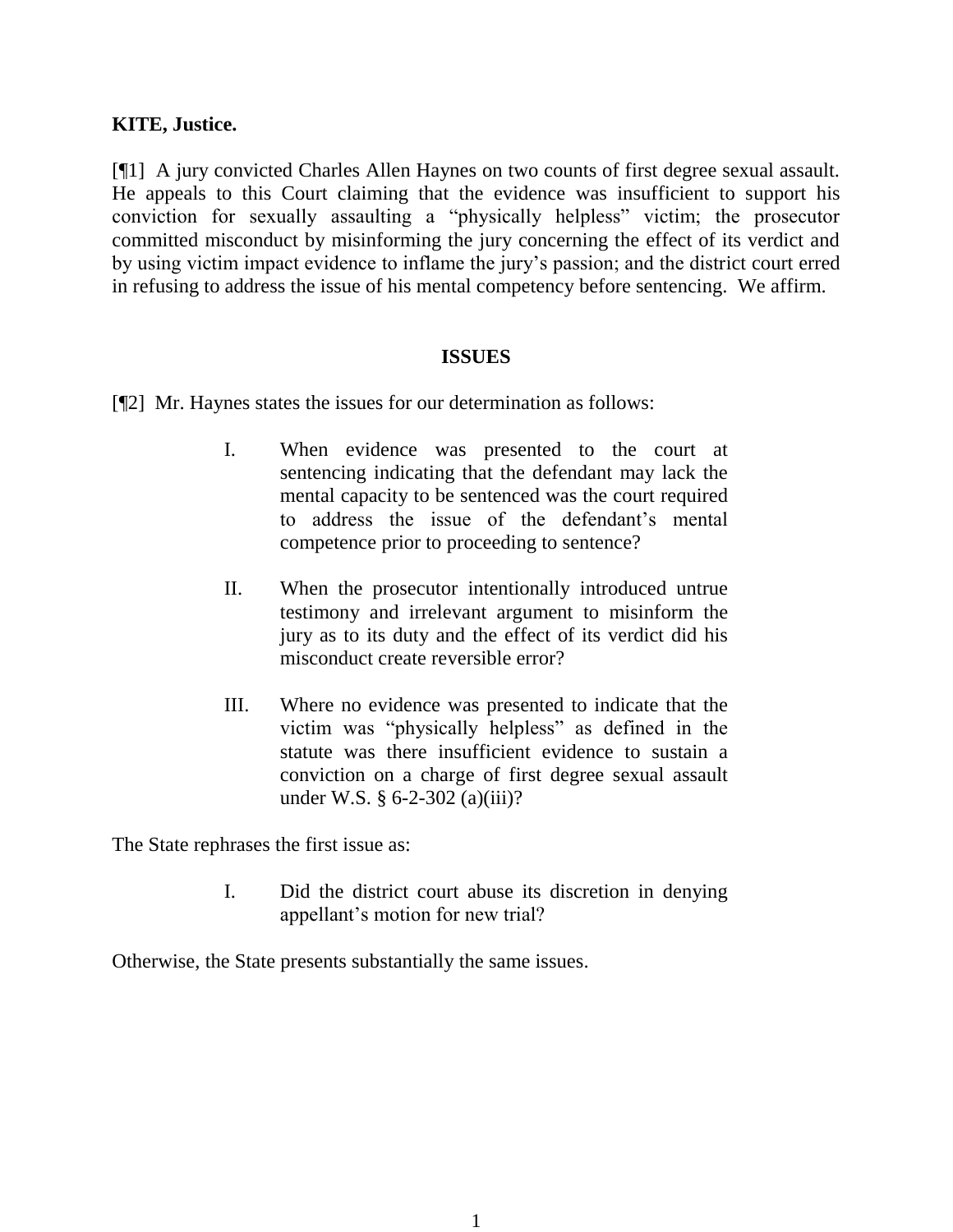### **KITE, Justice.**

[¶1] A jury convicted Charles Allen Haynes on two counts of first degree sexual assault. He appeals to this Court claiming that the evidence was insufficient to support his conviction for sexually assaulting a "physically helpless" victim; the prosecutor committed misconduct by misinforming the jury concerning the effect of its verdict and by using victim impact evidence to inflame the jury's passion; and the district court erred in refusing to address the issue of his mental competency before sentencing. We affirm.

#### **ISSUES**

[¶2] Mr. Haynes states the issues for our determination as follows:

- I. When evidence was presented to the court at sentencing indicating that the defendant may lack the mental capacity to be sentenced was the court required to address the issue of the defendant's mental competence prior to proceeding to sentence?
- II. When the prosecutor intentionally introduced untrue testimony and irrelevant argument to misinform the jury as to its duty and the effect of its verdict did his misconduct create reversible error?
- III. Where no evidence was presented to indicate that the victim was "physically helpless" as defined in the statute was there insufficient evidence to sustain a conviction on a charge of first degree sexual assault under W.S. § 6-2-302 (a)(iii)?

The State rephrases the first issue as:

I. Did the district court abuse its discretion in denying appellant's motion for new trial?

Otherwise, the State presents substantially the same issues.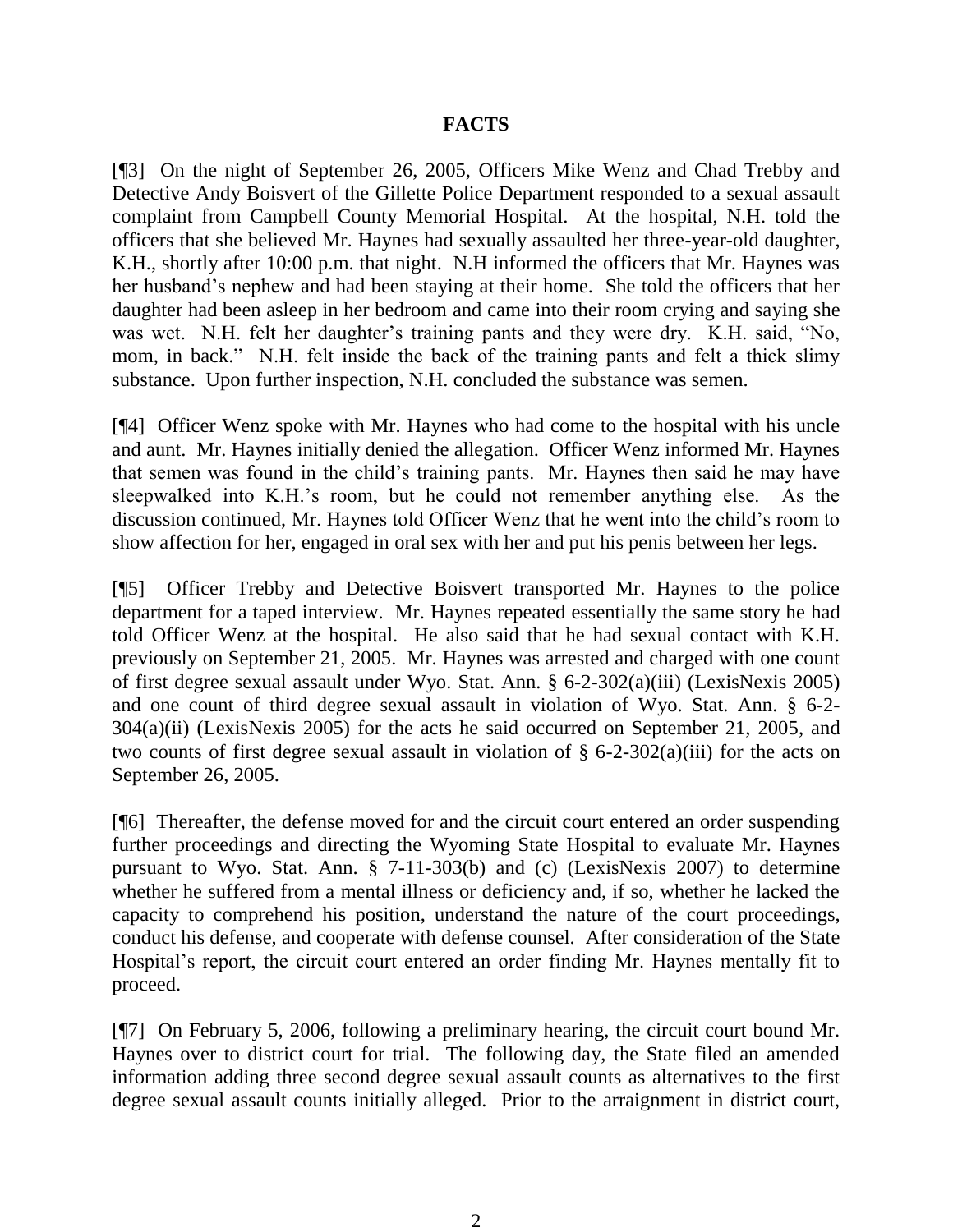### **FACTS**

[¶3] On the night of September 26, 2005, Officers Mike Wenz and Chad Trebby and Detective Andy Boisvert of the Gillette Police Department responded to a sexual assault complaint from Campbell County Memorial Hospital. At the hospital, N.H. told the officers that she believed Mr. Haynes had sexually assaulted her three-year-old daughter, K.H., shortly after 10:00 p.m. that night. N.H informed the officers that Mr. Haynes was her husband's nephew and had been staying at their home. She told the officers that her daughter had been asleep in her bedroom and came into their room crying and saying she was wet. N.H. felt her daughter's training pants and they were dry. K.H. said, "No, mom, in back." N.H. felt inside the back of the training pants and felt a thick slimy substance. Upon further inspection, N.H. concluded the substance was semen.

[¶4] Officer Wenz spoke with Mr. Haynes who had come to the hospital with his uncle and aunt. Mr. Haynes initially denied the allegation. Officer Wenz informed Mr. Haynes that semen was found in the child's training pants. Mr. Haynes then said he may have sleepwalked into K.H.'s room, but he could not remember anything else. As the discussion continued, Mr. Haynes told Officer Wenz that he went into the child's room to show affection for her, engaged in oral sex with her and put his penis between her legs.

[¶5] Officer Trebby and Detective Boisvert transported Mr. Haynes to the police department for a taped interview. Mr. Haynes repeated essentially the same story he had told Officer Wenz at the hospital. He also said that he had sexual contact with K.H. previously on September 21, 2005. Mr. Haynes was arrested and charged with one count of first degree sexual assault under Wyo. Stat. Ann. § 6-2-302(a)(iii) (LexisNexis 2005) and one count of third degree sexual assault in violation of Wyo. Stat. Ann. § 6-2- 304(a)(ii) (LexisNexis 2005) for the acts he said occurred on September 21, 2005, and two counts of first degree sexual assault in violation of  $\S$  6-2-302(a)(iii) for the acts on September 26, 2005.

[¶6] Thereafter, the defense moved for and the circuit court entered an order suspending further proceedings and directing the Wyoming State Hospital to evaluate Mr. Haynes pursuant to Wyo. Stat. Ann. § 7-11-303(b) and (c) (LexisNexis 2007) to determine whether he suffered from a mental illness or deficiency and, if so, whether he lacked the capacity to comprehend his position, understand the nature of the court proceedings, conduct his defense, and cooperate with defense counsel. After consideration of the State Hospital's report, the circuit court entered an order finding Mr. Haynes mentally fit to proceed.

[¶7] On February 5, 2006, following a preliminary hearing, the circuit court bound Mr. Haynes over to district court for trial. The following day, the State filed an amended information adding three second degree sexual assault counts as alternatives to the first degree sexual assault counts initially alleged. Prior to the arraignment in district court,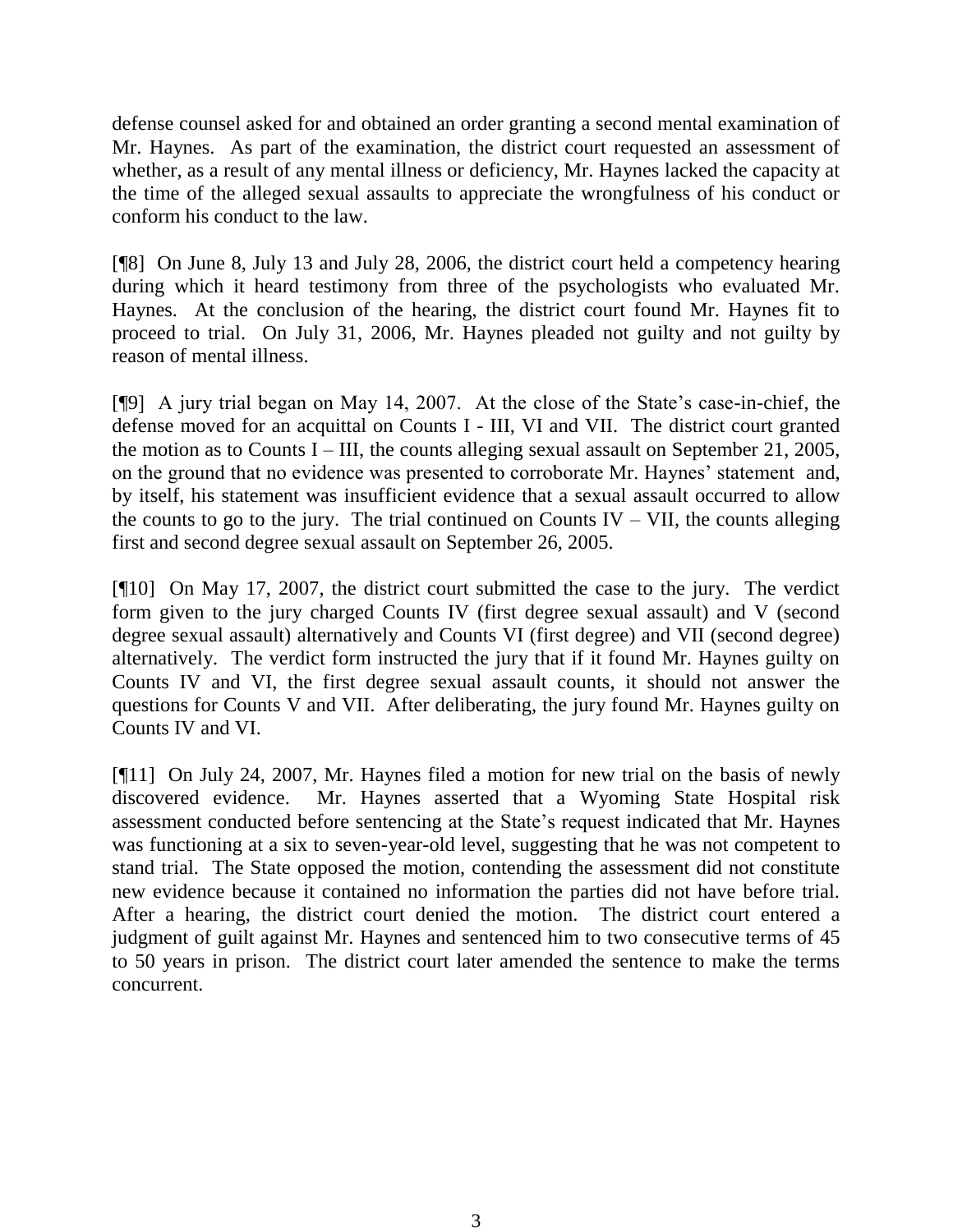defense counsel asked for and obtained an order granting a second mental examination of Mr. Haynes. As part of the examination, the district court requested an assessment of whether, as a result of any mental illness or deficiency, Mr. Haynes lacked the capacity at the time of the alleged sexual assaults to appreciate the wrongfulness of his conduct or conform his conduct to the law.

[¶8] On June 8, July 13 and July 28, 2006, the district court held a competency hearing during which it heard testimony from three of the psychologists who evaluated Mr. Haynes. At the conclusion of the hearing, the district court found Mr. Haynes fit to proceed to trial. On July 31, 2006, Mr. Haynes pleaded not guilty and not guilty by reason of mental illness.

[¶9] A jury trial began on May 14, 2007. At the close of the State's case-in-chief, the defense moved for an acquittal on Counts I - III, VI and VII. The district court granted the motion as to Counts I – III, the counts alleging sexual assault on September 21, 2005, on the ground that no evidence was presented to corroborate Mr. Haynes' statement and, by itself, his statement was insufficient evidence that a sexual assault occurred to allow the counts to go to the jury. The trial continued on Counts IV – VII, the counts alleging first and second degree sexual assault on September 26, 2005.

[¶10] On May 17, 2007, the district court submitted the case to the jury. The verdict form given to the jury charged Counts IV (first degree sexual assault) and V (second degree sexual assault) alternatively and Counts VI (first degree) and VII (second degree) alternatively. The verdict form instructed the jury that if it found Mr. Haynes guilty on Counts IV and VI, the first degree sexual assault counts, it should not answer the questions for Counts V and VII. After deliberating, the jury found Mr. Haynes guilty on Counts IV and VI.

[¶11] On July 24, 2007, Mr. Haynes filed a motion for new trial on the basis of newly discovered evidence. Mr. Haynes asserted that a Wyoming State Hospital risk assessment conducted before sentencing at the State's request indicated that Mr. Haynes was functioning at a six to seven-year-old level, suggesting that he was not competent to stand trial. The State opposed the motion, contending the assessment did not constitute new evidence because it contained no information the parties did not have before trial. After a hearing, the district court denied the motion. The district court entered a judgment of guilt against Mr. Haynes and sentenced him to two consecutive terms of 45 to 50 years in prison. The district court later amended the sentence to make the terms concurrent.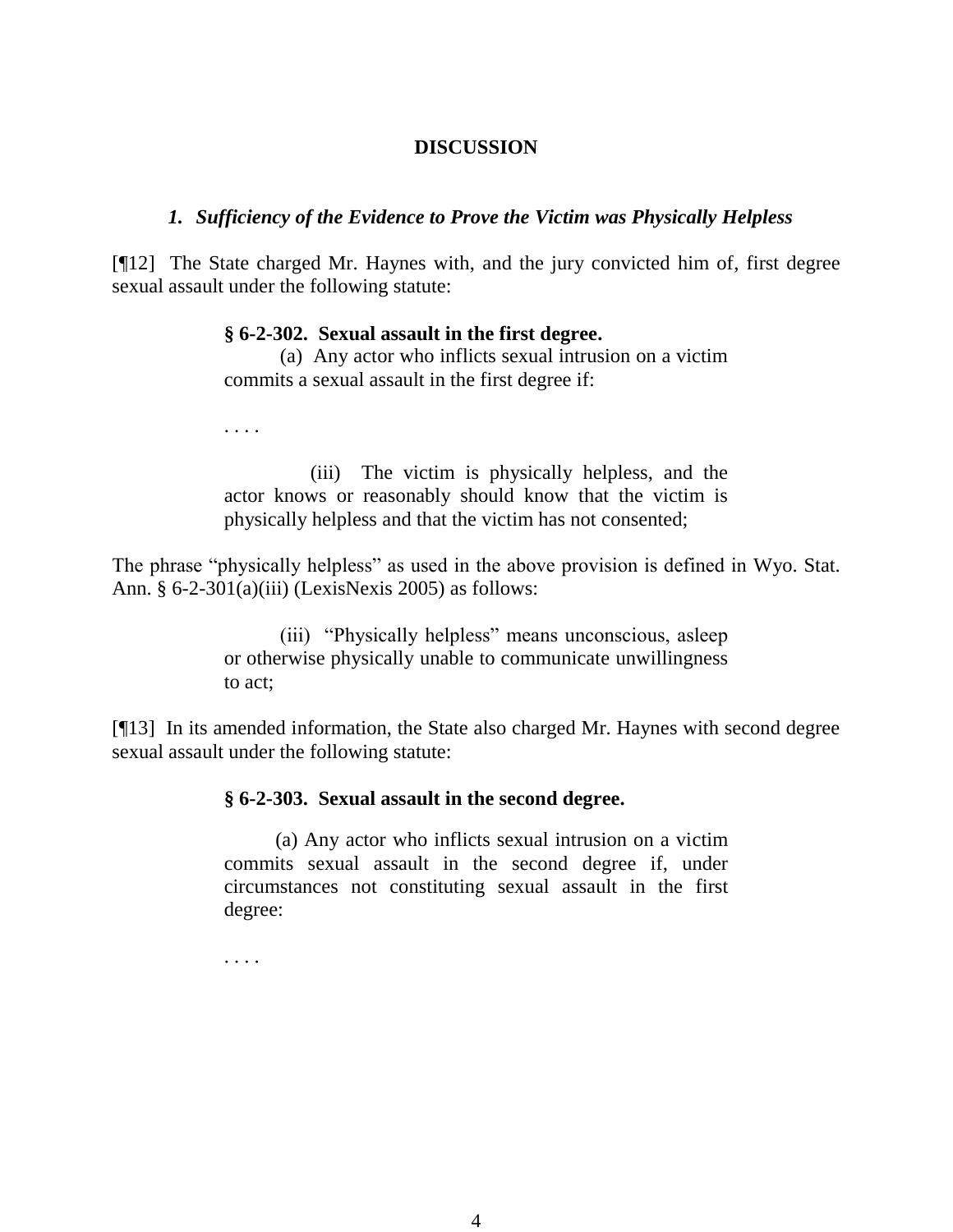## **DISCUSSION**

### *1. Sufficiency of the Evidence to Prove the Victim was Physically Helpless*

[¶12] The State charged Mr. Haynes with, and the jury convicted him of, first degree sexual assault under the following statute:

#### **§ 6-2-302. Sexual assault in the first degree.**

(a) Any actor who inflicts sexual intrusion on a victim commits a sexual assault in the first degree if:

. . . .

 (iii) The victim is physically helpless, and the actor knows or reasonably should know that the victim is physically helpless and that the victim has not consented;

The phrase "physically helpless" as used in the above provision is defined in Wyo. Stat. Ann. § 6-2-301(a)(iii) (LexisNexis 2005) as follows:

> (iii) "Physically helpless" means unconscious, asleep or otherwise physically unable to communicate unwillingness to act;

[¶13]In its amended information, the State also charged Mr. Haynes with second degree sexual assault under the following statute:

#### **§ 6-2-303. Sexual assault in the second degree.**

(a) Any actor who inflicts sexual intrusion on a victim commits sexual assault in the second degree if, under circumstances not constituting sexual assault in the first degree:

. . . .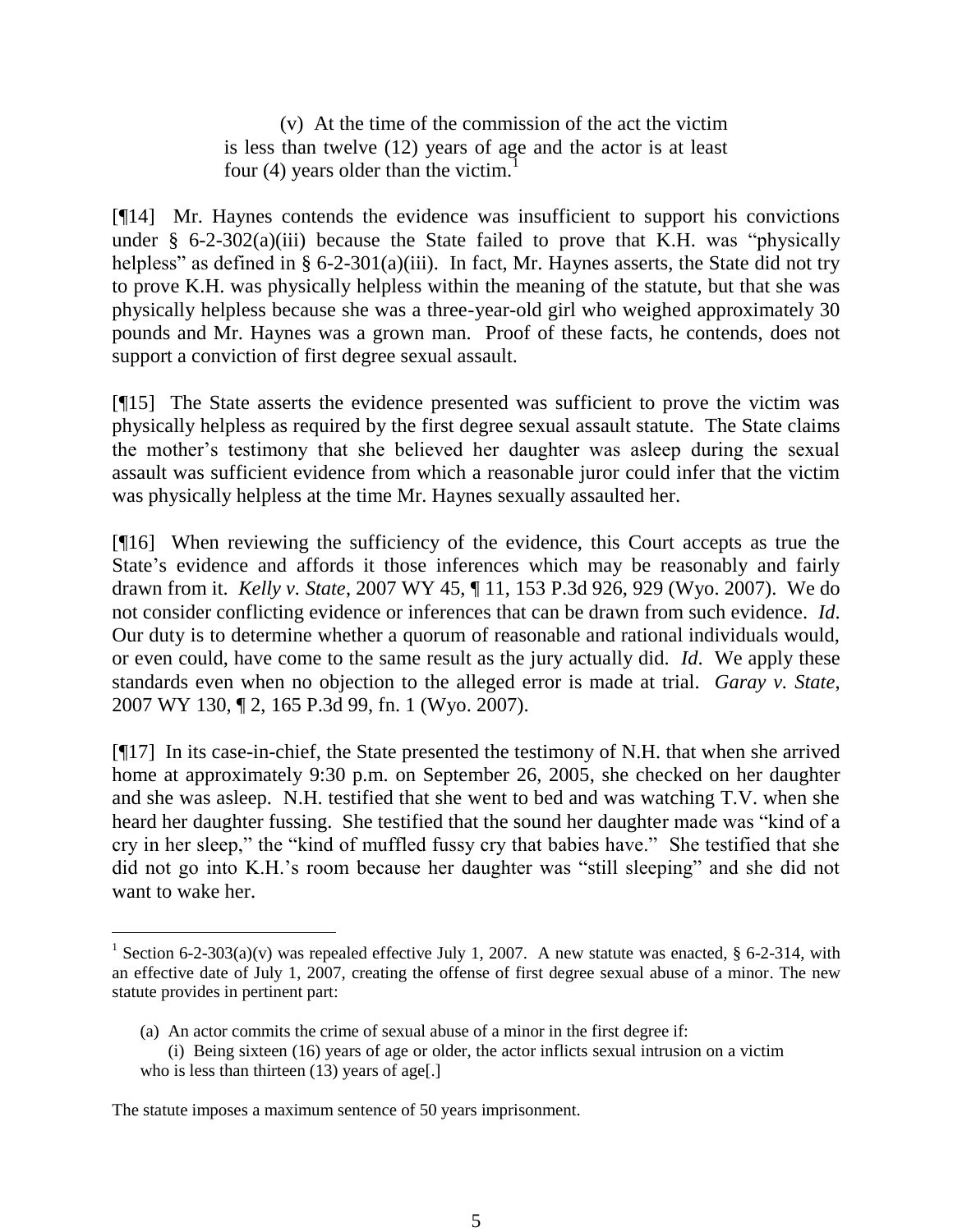(v) At the time of the commission of the act the victim is less than twelve (12) years of age and the actor is at least four (4) years older than the victim.<sup>1</sup>

[¶14]Mr. Haynes contends the evidence was insufficient to support his convictions under  $\S$  6-2-302(a)(iii) because the State failed to prove that K.H. was "physically helpless" as defined in § 6-2-301(a)(iii). In fact, Mr. Haynes asserts, the State did not try to prove K.H. was physically helpless within the meaning of the statute, but that she was physically helpless because she was a three-year-old girl who weighed approximately 30 pounds and Mr. Haynes was a grown man. Proof of these facts, he contends, does not support a conviction of first degree sexual assault.

[¶15] The State asserts the evidence presented was sufficient to prove the victim was physically helpless as required by the first degree sexual assault statute. The State claims the mother's testimony that she believed her daughter was asleep during the sexual assault was sufficient evidence from which a reasonable juror could infer that the victim was physically helpless at the time Mr. Haynes sexually assaulted her.

[¶16] When reviewing the sufficiency of the evidence, this Court accepts as true the State's evidence and affords it those inferences which may be reasonably and fairly drawn from it. *Kelly v. State*, 2007 WY 45, ¶ 11, 153 P.3d 926, 929 (Wyo. 2007). We do not consider conflicting evidence or inferences that can be drawn from such evidence. *Id*. Our duty is to determine whether a quorum of reasonable and rational individuals would, or even could, have come to the same result as the jury actually did. *Id*. We apply these standards even when no objection to the alleged error is made at trial. *Garay v. State*, 2007 WY 130, ¶ 2, 165 P.3d 99, fn. 1 (Wyo. 2007).

[¶17] In its case-in-chief, the State presented the testimony of N.H. that when she arrived home at approximately 9:30 p.m. on September 26, 2005, she checked on her daughter and she was asleep. N.H. testified that she went to bed and was watching T.V. when she heard her daughter fussing. She testified that the sound her daughter made was "kind of a cry in her sleep," the "kind of muffled fussy cry that babies have." She testified that she did not go into K.H.'s room because her daughter was "still sleeping" and she did not want to wake her.

 $\overline{a}$ 

<sup>&</sup>lt;sup>1</sup> Section 6-2-303(a)(v) was repealed effective July 1, 2007. A new statute was enacted, § 6-2-314, with an effective date of July 1, 2007, creating the offense of first degree sexual abuse of a minor. The new statute provides in pertinent part:

<sup>(</sup>a) An actor commits the crime of sexual abuse of a minor in the first degree if:

<sup>(</sup>i) Being sixteen (16) years of age or older, the actor inflicts sexual intrusion on a victim who is less than thirteen (13) years of age[.]

The statute imposes a maximum sentence of 50 years imprisonment.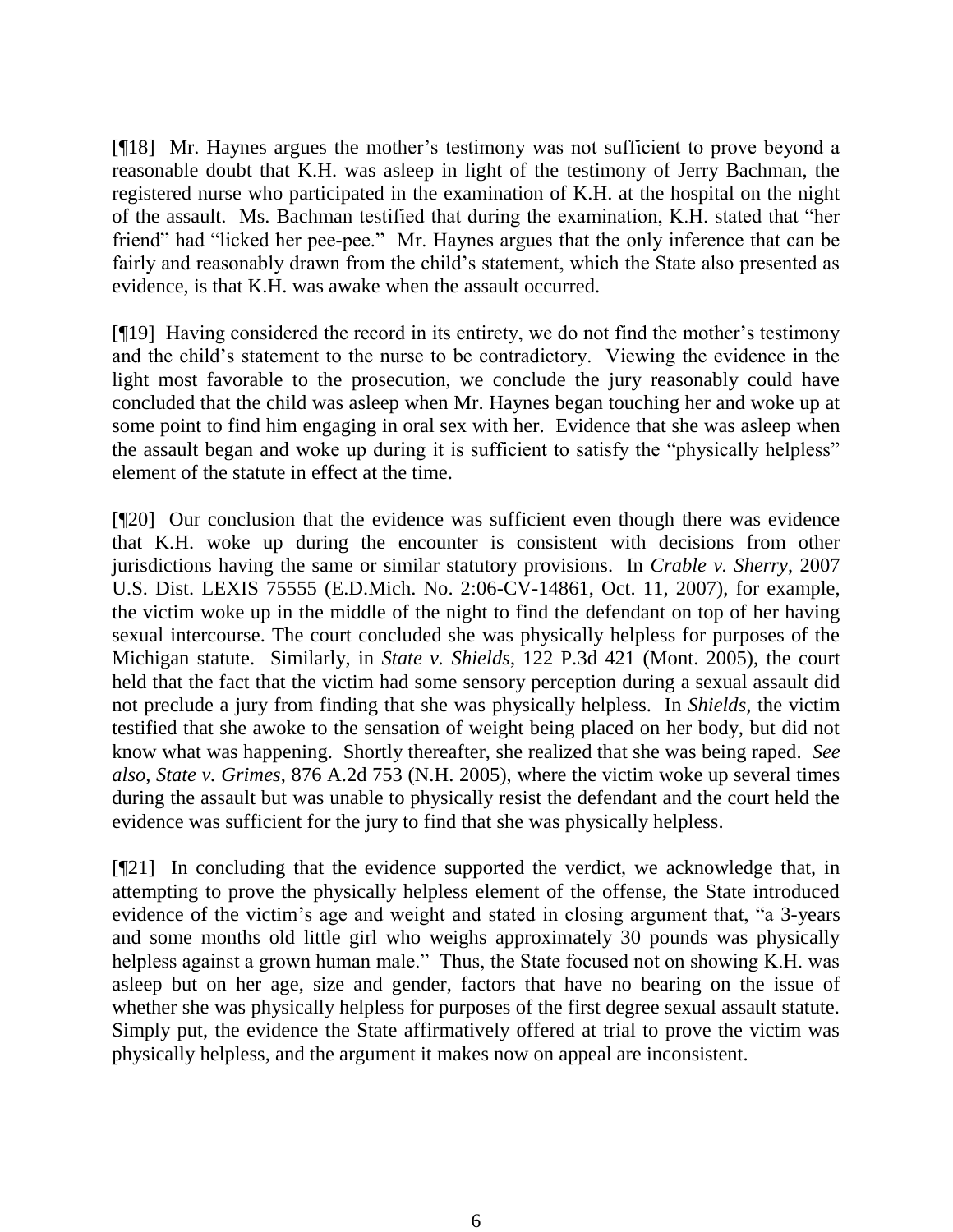[¶18] Mr. Haynes argues the mother's testimony was not sufficient to prove beyond a reasonable doubt that K.H. was asleep in light of the testimony of Jerry Bachman, the registered nurse who participated in the examination of K.H. at the hospital on the night of the assault. Ms. Bachman testified that during the examination, K.H. stated that "her friend" had "licked her pee-pee." Mr. Haynes argues that the only inference that can be fairly and reasonably drawn from the child's statement, which the State also presented as evidence, is that K.H. was awake when the assault occurred.

[¶19] Having considered the record in its entirety, we do not find the mother's testimony and the child's statement to the nurse to be contradictory. Viewing the evidence in the light most favorable to the prosecution, we conclude the jury reasonably could have concluded that the child was asleep when Mr. Haynes began touching her and woke up at some point to find him engaging in oral sex with her. Evidence that she was asleep when the assault began and woke up during it is sufficient to satisfy the "physically helpless" element of the statute in effect at the time.

[¶20] Our conclusion that the evidence was sufficient even though there was evidence that K.H. woke up during the encounter is consistent with decisions from other jurisdictions having the same or similar statutory provisions. In *Crable v. Sherry*, 2007 U.S. Dist. LEXIS 75555 (E.D.Mich. No. 2:06-CV-14861, Oct. 11, 2007), for example, the victim woke up in the middle of the night to find the defendant on top of her having sexual intercourse. The court concluded she was physically helpless for purposes of the Michigan statute. Similarly, in *State v. Shields*, 122 P.3d 421 (Mont. 2005), the court held that the fact that the victim had some sensory perception during a sexual assault did not preclude a jury from finding that she was physically helpless. In *Shields*, the victim testified that she awoke to the sensation of weight being placed on her body, but did not know what was happening. Shortly thereafter, she realized that she was being raped. *See also, State v. Grimes*, 876 A.2d 753 (N.H. 2005), where the victim woke up several times during the assault but was unable to physically resist the defendant and the court held the evidence was sufficient for the jury to find that she was physically helpless.

[¶21] In concluding that the evidence supported the verdict, we acknowledge that, in attempting to prove the physically helpless element of the offense, the State introduced evidence of the victim's age and weight and stated in closing argument that, "a 3-years and some months old little girl who weighs approximately 30 pounds was physically helpless against a grown human male." Thus, the State focused not on showing K.H. was asleep but on her age, size and gender, factors that have no bearing on the issue of whether she was physically helpless for purposes of the first degree sexual assault statute. Simply put, the evidence the State affirmatively offered at trial to prove the victim was physically helpless, and the argument it makes now on appeal are inconsistent.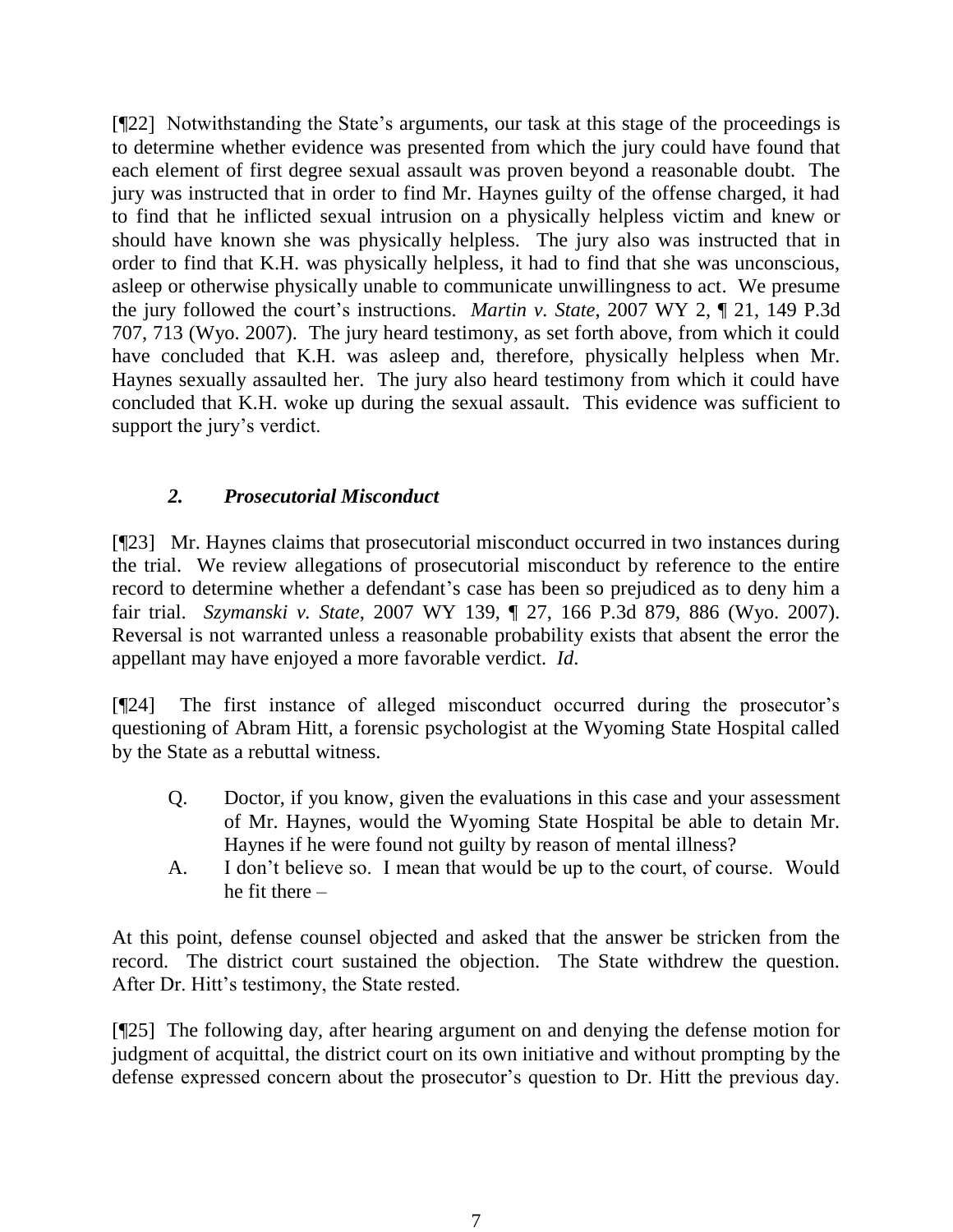[¶22] Notwithstanding the State's arguments, our task at this stage of the proceedings is to determine whether evidence was presented from which the jury could have found that each element of first degree sexual assault was proven beyond a reasonable doubt. The jury was instructed that in order to find Mr. Haynes guilty of the offense charged, it had to find that he inflicted sexual intrusion on a physically helpless victim and knew or should have known she was physically helpless. The jury also was instructed that in order to find that K.H. was physically helpless, it had to find that she was unconscious, asleep or otherwise physically unable to communicate unwillingness to act. We presume the jury followed the court's instructions. *Martin v. State*, 2007 WY 2, ¶ 21, 149 P.3d 707, 713 (Wyo. 2007). The jury heard testimony, as set forth above, from which it could have concluded that K.H. was asleep and, therefore, physically helpless when Mr. Haynes sexually assaulted her. The jury also heard testimony from which it could have concluded that K.H. woke up during the sexual assault. This evidence was sufficient to support the jury's verdict.

# *2. Prosecutorial Misconduct*

[¶23] Mr. Haynes claims that prosecutorial misconduct occurred in two instances during the trial. We review allegations of prosecutorial misconduct by reference to the entire record to determine whether a defendant's case has been so prejudiced as to deny him a fair trial. *Szymanski v. State*, 2007 WY 139, ¶ 27, 166 P.3d 879, 886 (Wyo. 2007). Reversal is not warranted unless a reasonable probability exists that absent the error the appellant may have enjoyed a more favorable verdict. *Id*.

[¶24] The first instance of alleged misconduct occurred during the prosecutor's questioning of Abram Hitt, a forensic psychologist at the Wyoming State Hospital called by the State as a rebuttal witness.

- Q. Doctor, if you know, given the evaluations in this case and your assessment of Mr. Haynes, would the Wyoming State Hospital be able to detain Mr. Haynes if he were found not guilty by reason of mental illness?
- A. I don't believe so. I mean that would be up to the court, of course. Would he fit there –

At this point, defense counsel objected and asked that the answer be stricken from the record. The district court sustained the objection. The State withdrew the question. After Dr. Hitt's testimony, the State rested.

[¶25] The following day, after hearing argument on and denying the defense motion for judgment of acquittal, the district court on its own initiative and without prompting by the defense expressed concern about the prosecutor's question to Dr. Hitt the previous day.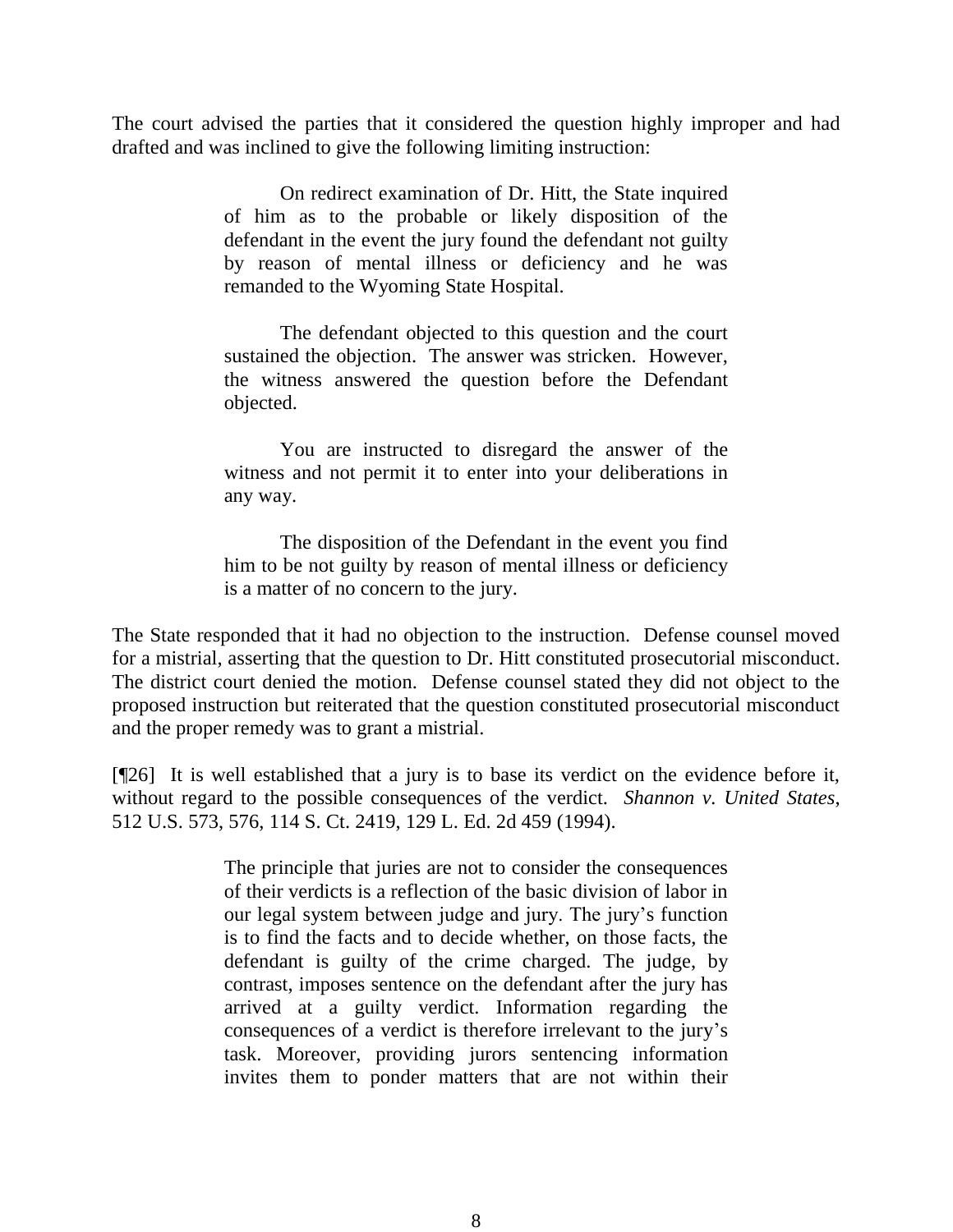The court advised the parties that it considered the question highly improper and had drafted and was inclined to give the following limiting instruction:

> On redirect examination of Dr. Hitt, the State inquired of him as to the probable or likely disposition of the defendant in the event the jury found the defendant not guilty by reason of mental illness or deficiency and he was remanded to the Wyoming State Hospital.

> The defendant objected to this question and the court sustained the objection. The answer was stricken. However, the witness answered the question before the Defendant objected.

> You are instructed to disregard the answer of the witness and not permit it to enter into your deliberations in any way.

> The disposition of the Defendant in the event you find him to be not guilty by reason of mental illness or deficiency is a matter of no concern to the jury.

The State responded that it had no objection to the instruction. Defense counsel moved for a mistrial, asserting that the question to Dr. Hitt constituted prosecutorial misconduct. The district court denied the motion. Defense counsel stated they did not object to the proposed instruction but reiterated that the question constituted prosecutorial misconduct and the proper remedy was to grant a mistrial.

[¶26] It is well established that a jury is to base its verdict on the evidence before it, without regard to the possible consequences of the verdict. *Shannon v. United States*, 512 U.S. 573, 576, 114 S. Ct. 2419, 129 L. Ed. 2d 459 (1994).

> The principle that juries are not to consider the consequences of their verdicts is a reflection of the basic division of labor in our legal system between judge and jury. The jury's function is to find the facts and to decide whether, on those facts, the defendant is guilty of the crime charged. The judge, by contrast, imposes sentence on the defendant after the jury has arrived at a guilty verdict. Information regarding the consequences of a verdict is therefore irrelevant to the jury's task. Moreover, providing jurors sentencing information invites them to ponder matters that are not within their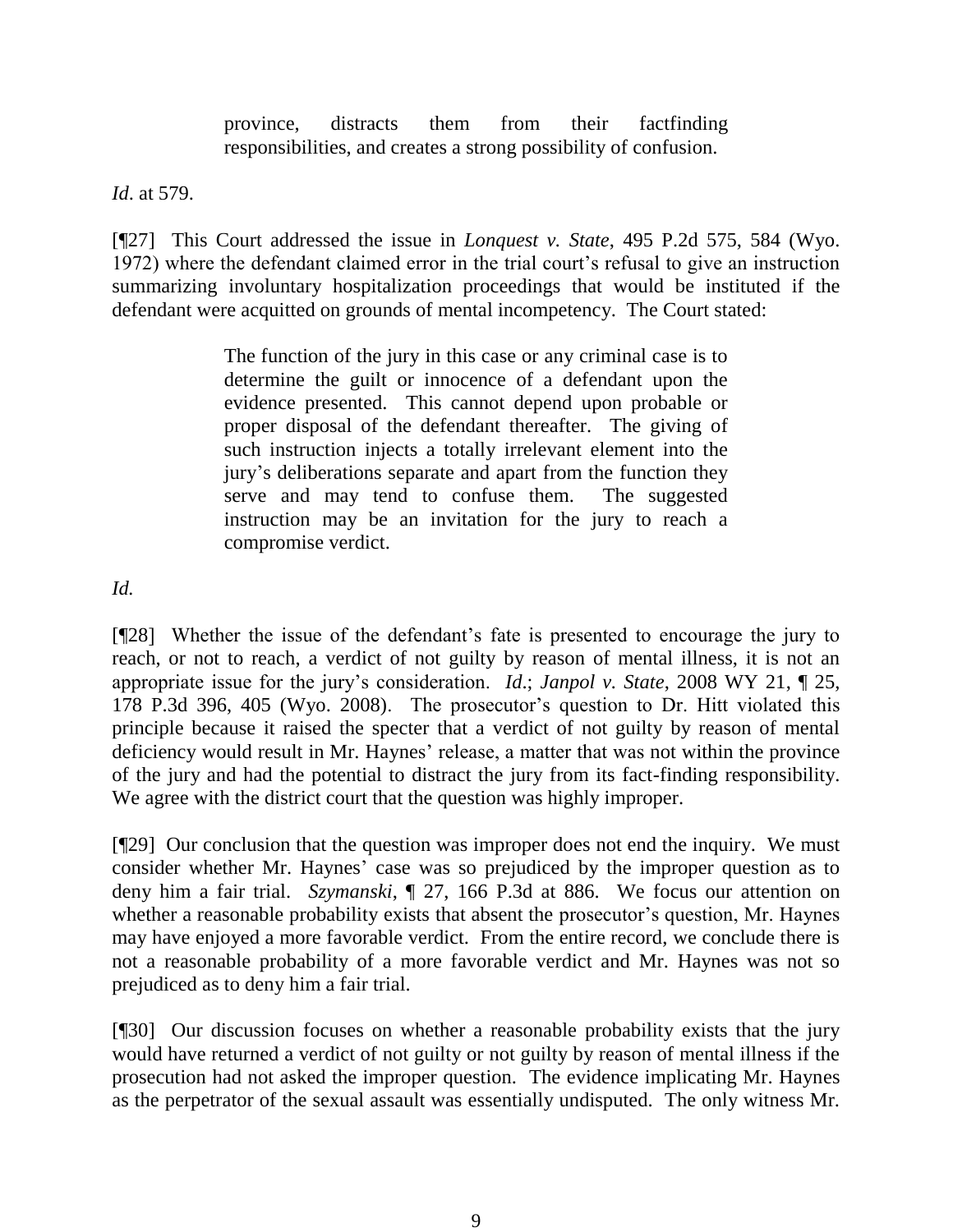province, distracts them from their factfinding responsibilities, and creates a strong possibility of confusion.

*Id*. at 579.

[¶27] This Court addressed the issue in *Lonquest v. State*, 495 P.2d 575, 584 (Wyo. 1972) where the defendant claimed error in the trial court's refusal to give an instruction summarizing involuntary hospitalization proceedings that would be instituted if the defendant were acquitted on grounds of mental incompetency. The Court stated:

> The function of the jury in this case or any criminal case is to determine the guilt or innocence of a defendant upon the evidence presented. This cannot depend upon probable or proper disposal of the defendant thereafter. The giving of such instruction injects a totally irrelevant element into the jury's deliberations separate and apart from the function they serve and may tend to confuse them. The suggested instruction may be an invitation for the jury to reach a compromise verdict.

*Id.*

[¶28] Whether the issue of the defendant's fate is presented to encourage the jury to reach, or not to reach, a verdict of not guilty by reason of mental illness, it is not an appropriate issue for the jury's consideration. *Id*.; *Janpol v. State*, 2008 WY 21, ¶ 25, 178 P.3d 396, 405 (Wyo. 2008). The prosecutor's question to Dr. Hitt violated this principle because it raised the specter that a verdict of not guilty by reason of mental deficiency would result in Mr. Haynes' release, a matter that was not within the province of the jury and had the potential to distract the jury from its fact-finding responsibility. We agree with the district court that the question was highly improper.

[¶29] Our conclusion that the question was improper does not end the inquiry. We must consider whether Mr. Haynes' case was so prejudiced by the improper question as to deny him a fair trial. *Szymanski*, ¶ 27, 166 P.3d at 886. We focus our attention on whether a reasonable probability exists that absent the prosecutor's question, Mr. Haynes may have enjoyed a more favorable verdict. From the entire record, we conclude there is not a reasonable probability of a more favorable verdict and Mr. Haynes was not so prejudiced as to deny him a fair trial.

[¶30] Our discussion focuses on whether a reasonable probability exists that the jury would have returned a verdict of not guilty or not guilty by reason of mental illness if the prosecution had not asked the improper question. The evidence implicating Mr. Haynes as the perpetrator of the sexual assault was essentially undisputed. The only witness Mr.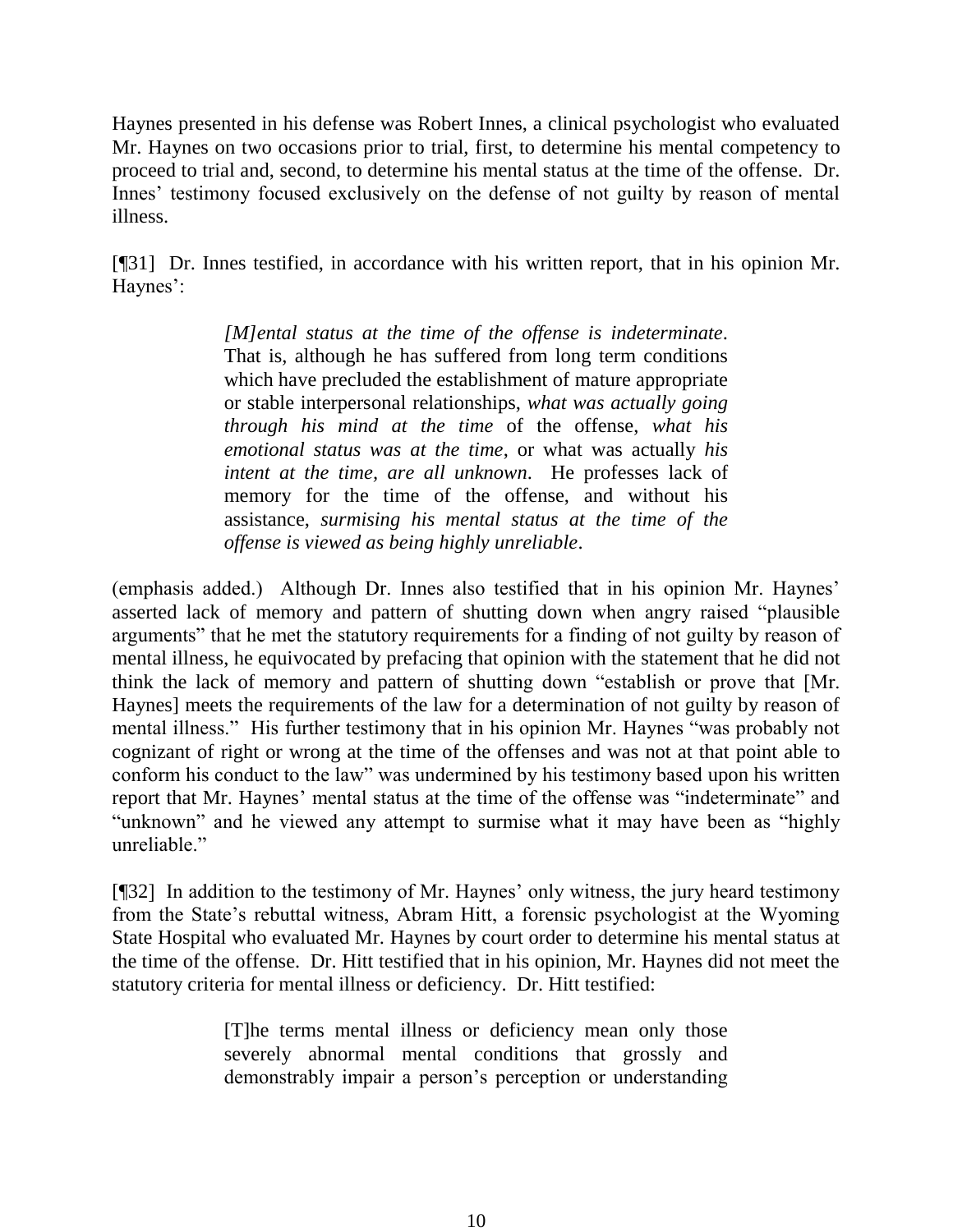Haynes presented in his defense was Robert Innes, a clinical psychologist who evaluated Mr. Haynes on two occasions prior to trial, first, to determine his mental competency to proceed to trial and, second, to determine his mental status at the time of the offense. Dr. Innes' testimony focused exclusively on the defense of not guilty by reason of mental illness.

[¶31] Dr. Innes testified, in accordance with his written report, that in his opinion Mr. Haynes':

> *[M]ental status at the time of the offense is indeterminate*. That is, although he has suffered from long term conditions which have precluded the establishment of mature appropriate or stable interpersonal relationships, *what was actually going through his mind at the time* of the offense, *what his emotional status was at the time*, or what was actually *his intent at the time, are all unknown*. He professes lack of memory for the time of the offense, and without his assistance, *surmising his mental status at the time of the offense is viewed as being highly unreliable*.

(emphasis added.) Although Dr. Innes also testified that in his opinion Mr. Haynes' asserted lack of memory and pattern of shutting down when angry raised "plausible arguments" that he met the statutory requirements for a finding of not guilty by reason of mental illness, he equivocated by prefacing that opinion with the statement that he did not think the lack of memory and pattern of shutting down "establish or prove that [Mr. Haynes] meets the requirements of the law for a determination of not guilty by reason of mental illness." His further testimony that in his opinion Mr. Haynes "was probably not cognizant of right or wrong at the time of the offenses and was not at that point able to conform his conduct to the law" was undermined by his testimony based upon his written report that Mr. Haynes' mental status at the time of the offense was "indeterminate" and "unknown" and he viewed any attempt to surmise what it may have been as "highly unreliable."

[¶32] In addition to the testimony of Mr. Haynes' only witness, the jury heard testimony from the State's rebuttal witness, Abram Hitt, a forensic psychologist at the Wyoming State Hospital who evaluated Mr. Haynes by court order to determine his mental status at the time of the offense. Dr. Hitt testified that in his opinion, Mr. Haynes did not meet the statutory criteria for mental illness or deficiency. Dr. Hitt testified:

> [T]he terms mental illness or deficiency mean only those severely abnormal mental conditions that grossly and demonstrably impair a person's perception or understanding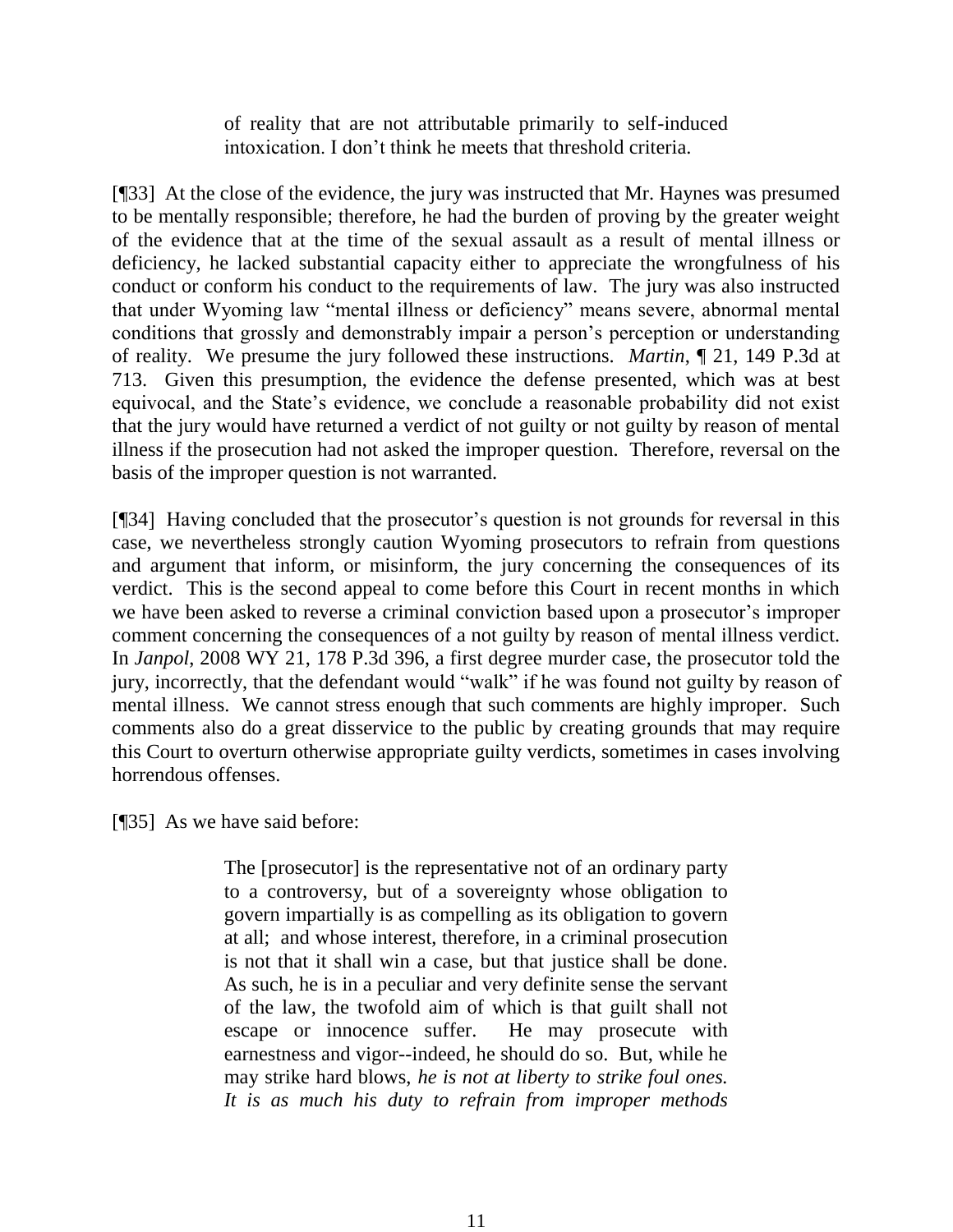of reality that are not attributable primarily to self-induced intoxication. I don't think he meets that threshold criteria.

[¶33] At the close of the evidence, the jury was instructed that Mr. Haynes was presumed to be mentally responsible; therefore, he had the burden of proving by the greater weight of the evidence that at the time of the sexual assault as a result of mental illness or deficiency, he lacked substantial capacity either to appreciate the wrongfulness of his conduct or conform his conduct to the requirements of law. The jury was also instructed that under Wyoming law "mental illness or deficiency" means severe, abnormal mental conditions that grossly and demonstrably impair a person's perception or understanding of reality. We presume the jury followed these instructions. *Martin*, ¶ 21, 149 P.3d at 713. Given this presumption, the evidence the defense presented, which was at best equivocal, and the State's evidence, we conclude a reasonable probability did not exist that the jury would have returned a verdict of not guilty or not guilty by reason of mental illness if the prosecution had not asked the improper question. Therefore, reversal on the basis of the improper question is not warranted.

[¶34] Having concluded that the prosecutor's question is not grounds for reversal in this case, we nevertheless strongly caution Wyoming prosecutors to refrain from questions and argument that inform, or misinform, the jury concerning the consequences of its verdict. This is the second appeal to come before this Court in recent months in which we have been asked to reverse a criminal conviction based upon a prosecutor's improper comment concerning the consequences of a not guilty by reason of mental illness verdict. In *Janpol*, 2008 WY 21, 178 P.3d 396, a first degree murder case, the prosecutor told the jury, incorrectly, that the defendant would "walk" if he was found not guilty by reason of mental illness. We cannot stress enough that such comments are highly improper. Such comments also do a great disservice to the public by creating grounds that may require this Court to overturn otherwise appropriate guilty verdicts, sometimes in cases involving horrendous offenses.

[¶35] As we have said before:

The [prosecutor] is the representative not of an ordinary party to a controversy, but of a sovereignty whose obligation to govern impartially is as compelling as its obligation to govern at all; and whose interest, therefore, in a criminal prosecution is not that it shall win a case, but that justice shall be done. As such, he is in a peculiar and very definite sense the servant of the law, the twofold aim of which is that guilt shall not escape or innocence suffer. He may prosecute with earnestness and vigor--indeed, he should do so. But, while he may strike hard blows, *he is not at liberty to strike foul ones. It is as much his duty to refrain from improper methods*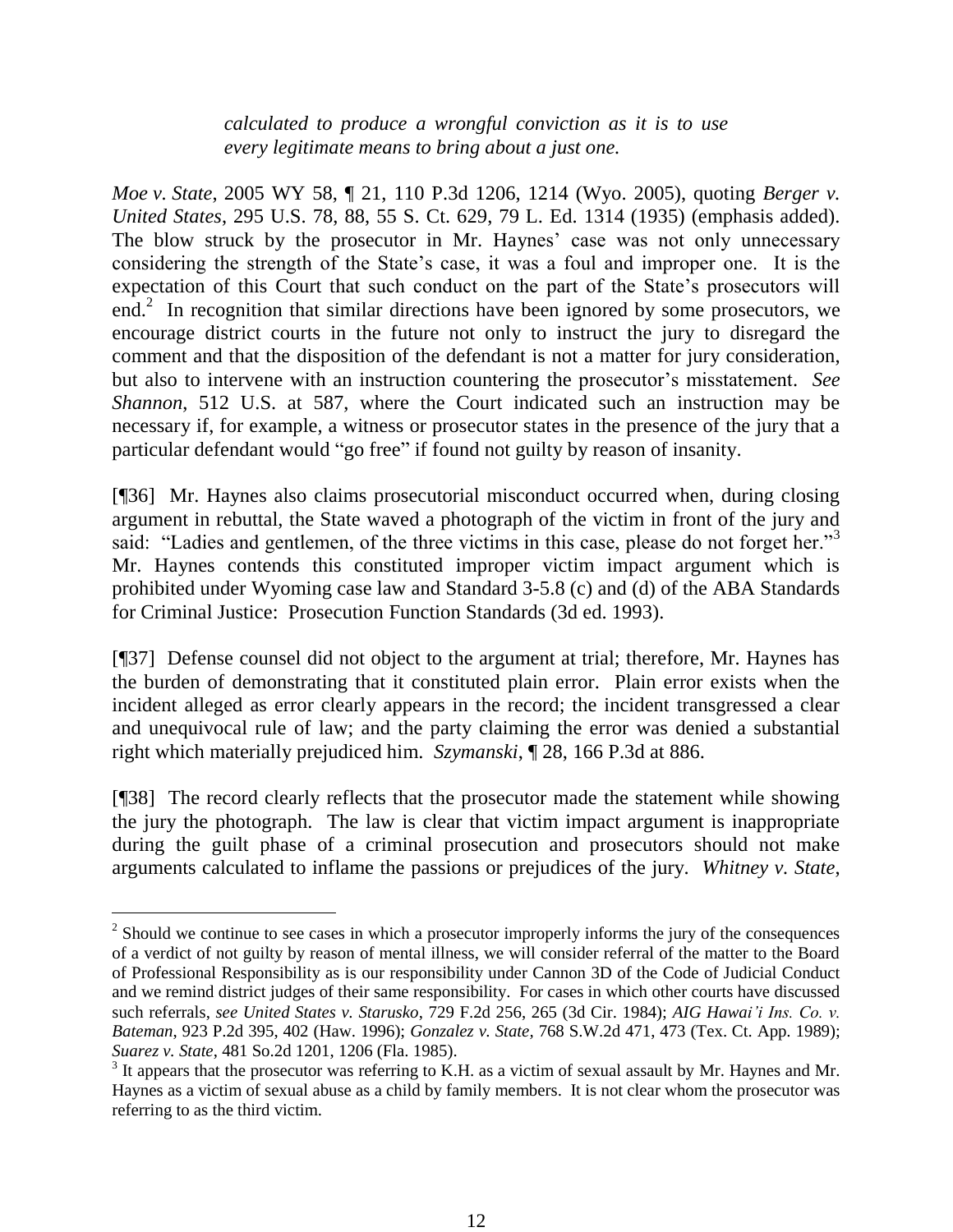*calculated to produce a wrongful conviction as it is to use every legitimate means to bring about a just one.* 

*Moe v. State*, 2005 WY 58, ¶ 21, 110 P.3d 1206, 1214 (Wyo. 2005), quoting *Berger v. United States*, 295 U.S. 78, 88, 55 S. Ct. 629, 79 L. Ed. 1314 (1935) (emphasis added). The blow struck by the prosecutor in Mr. Haynes' case was not only unnecessary considering the strength of the State's case, it was a foul and improper one. It is the expectation of this Court that such conduct on the part of the State's prosecutors will end.<sup>2</sup> In recognition that similar directions have been ignored by some prosecutors, we encourage district courts in the future not only to instruct the jury to disregard the comment and that the disposition of the defendant is not a matter for jury consideration, but also to intervene with an instruction countering the prosecutor's misstatement. *See Shannon*, 512 U.S. at 587, where the Court indicated such an instruction may be necessary if, for example, a witness or prosecutor states in the presence of the jury that a particular defendant would "go free" if found not guilty by reason of insanity.

[¶36] Mr. Haynes also claims prosecutorial misconduct occurred when, during closing argument in rebuttal, the State waved a photograph of the victim in front of the jury and said: "Ladies and gentlemen, of the three victims in this case, please do not forget her."<sup>3</sup> Mr. Haynes contends this constituted improper victim impact argument which is prohibited under Wyoming case law and Standard 3-5.8 (c) and (d) of the ABA Standards for Criminal Justice: Prosecution Function Standards (3d ed. 1993).

[¶37] Defense counsel did not object to the argument at trial; therefore, Mr. Haynes has the burden of demonstrating that it constituted plain error. Plain error exists when the incident alleged as error clearly appears in the record; the incident transgressed a clear and unequivocal rule of law; and the party claiming the error was denied a substantial right which materially prejudiced him. *Szymanski*, ¶ 28, 166 P.3d at 886.

[¶38] The record clearly reflects that the prosecutor made the statement while showing the jury the photograph. The law is clear that victim impact argument is inappropriate during the guilt phase of a criminal prosecution and prosecutors should not make arguments calculated to inflame the passions or prejudices of the jury. *Whitney v. State*,

 $\overline{a}$ 

 $2^2$  Should we continue to see cases in which a prosecutor improperly informs the jury of the consequences of a verdict of not guilty by reason of mental illness, we will consider referral of the matter to the Board of Professional Responsibility as is our responsibility under Cannon 3D of the Code of Judicial Conduct and we remind district judges of their same responsibility. For cases in which other courts have discussed such referrals, *see United States v. Starusko*, 729 F.2d 256, 265 (3d Cir. 1984); *AIG Hawai'i Ins. Co. v. Bateman*, 923 P.2d 395, 402 (Haw. 1996); *Gonzalez v. State,* 768 S.W.2d 471, 473 (Tex. Ct. App. 1989); *Suarez v. State*, 481 So.2d 1201, 1206 (Fla. 1985).

 $3$  It appears that the prosecutor was referring to K.H. as a victim of sexual assault by Mr. Haynes and Mr. Haynes as a victim of sexual abuse as a child by family members. It is not clear whom the prosecutor was referring to as the third victim.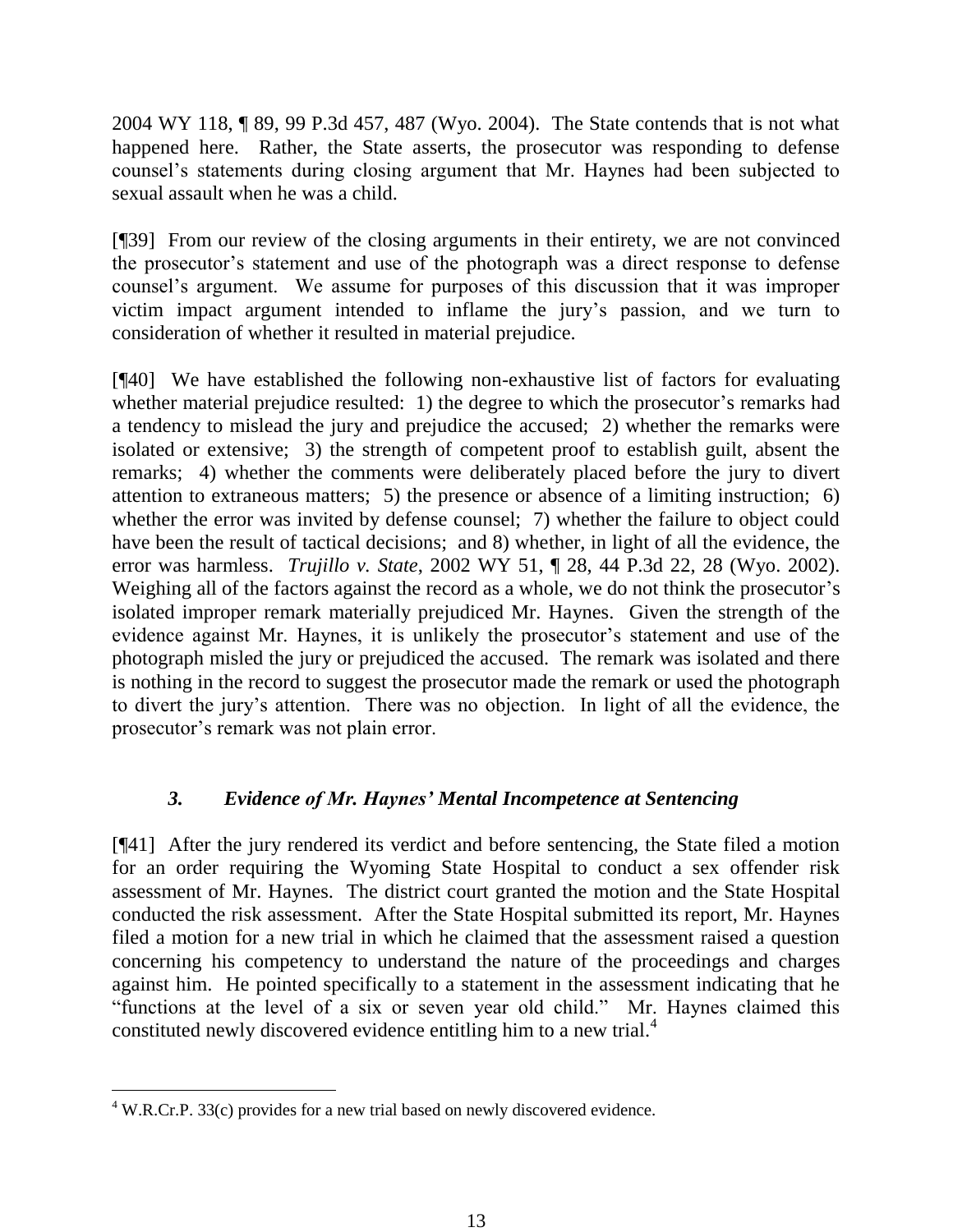2004 WY 118, ¶ 89, 99 P.3d 457, 487 (Wyo. 2004). The State contends that is not what happened here. Rather, the State asserts, the prosecutor was responding to defense counsel's statements during closing argument that Mr. Haynes had been subjected to sexual assault when he was a child.

[¶39] From our review of the closing arguments in their entirety, we are not convinced the prosecutor's statement and use of the photograph was a direct response to defense counsel's argument. We assume for purposes of this discussion that it was improper victim impact argument intended to inflame the jury's passion, and we turn to consideration of whether it resulted in material prejudice.

[¶40] We have established the following non-exhaustive list of factors for evaluating whether material prejudice resulted: 1) the degree to which the prosecutor's remarks had a tendency to mislead the jury and prejudice the accused; 2) whether the remarks were isolated or extensive; 3) the strength of competent proof to establish guilt, absent the remarks; 4) whether the comments were deliberately placed before the jury to divert attention to extraneous matters; 5) the presence or absence of a limiting instruction; 6) whether the error was invited by defense counsel; 7) whether the failure to object could have been the result of tactical decisions; and 8) whether, in light of all the evidence, the error was harmless. *Trujillo v. State*, 2002 WY 51, ¶ 28, 44 P.3d 22, 28 (Wyo. 2002). Weighing all of the factors against the record as a whole, we do not think the prosecutor's isolated improper remark materially prejudiced Mr. Haynes. Given the strength of the evidence against Mr. Haynes, it is unlikely the prosecutor's statement and use of the photograph misled the jury or prejudiced the accused. The remark was isolated and there is nothing in the record to suggest the prosecutor made the remark or used the photograph to divert the jury's attention. There was no objection. In light of all the evidence, the prosecutor's remark was not plain error.

# *3. Evidence of Mr. Haynes' Mental Incompetence at Sentencing*

[¶41] After the jury rendered its verdict and before sentencing, the State filed a motion for an order requiring the Wyoming State Hospital to conduct a sex offender risk assessment of Mr. Haynes. The district court granted the motion and the State Hospital conducted the risk assessment. After the State Hospital submitted its report, Mr. Haynes filed a motion for a new trial in which he claimed that the assessment raised a question concerning his competency to understand the nature of the proceedings and charges against him. He pointed specifically to a statement in the assessment indicating that he "functions at the level of a six or seven year old child." Mr. Haynes claimed this constituted newly discovered evidence entitling him to a new trial.<sup>4</sup>

 $\overline{a}$ 

<sup>&</sup>lt;sup>4</sup> W.R.Cr.P. 33(c) provides for a new trial based on newly discovered evidence.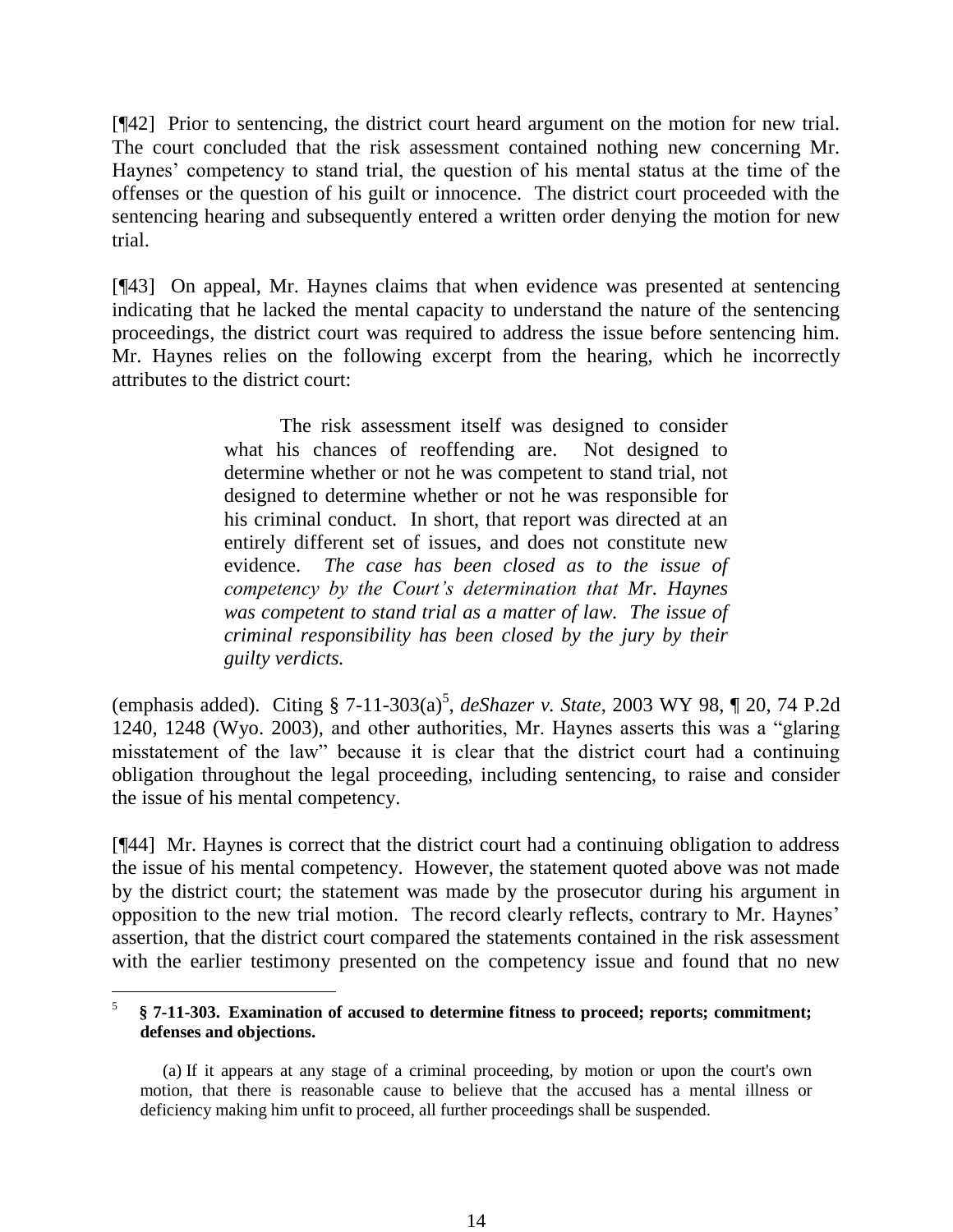[¶42] Prior to sentencing, the district court heard argument on the motion for new trial. The court concluded that the risk assessment contained nothing new concerning Mr. Haynes' competency to stand trial, the question of his mental status at the time of the offenses or the question of his guilt or innocence. The district court proceeded with the sentencing hearing and subsequently entered a written order denying the motion for new trial.

[¶43] On appeal, Mr. Haynes claims that when evidence was presented at sentencing indicating that he lacked the mental capacity to understand the nature of the sentencing proceedings, the district court was required to address the issue before sentencing him. Mr. Haynes relies on the following excerpt from the hearing, which he incorrectly attributes to the district court:

> The risk assessment itself was designed to consider what his chances of reoffending are. Not designed to determine whether or not he was competent to stand trial, not designed to determine whether or not he was responsible for his criminal conduct. In short, that report was directed at an entirely different set of issues, and does not constitute new evidence. *The case has been closed as to the issue of competency by the Court's determination that Mr. Haynes was competent to stand trial as a matter of law. The issue of criminal responsibility has been closed by the jury by their guilty verdicts.*

(emphasis added). Citing § 7-11-303(a)<sup>5</sup>, *deShazer v. State*, 2003 WY 98, ¶ 20, 74 P.2d 1240, 1248 (Wyo. 2003), and other authorities, Mr. Haynes asserts this was a "glaring misstatement of the law" because it is clear that the district court had a continuing obligation throughout the legal proceeding, including sentencing, to raise and consider the issue of his mental competency.

[¶44] Mr. Haynes is correct that the district court had a continuing obligation to address the issue of his mental competency. However, the statement quoted above was not made by the district court; the statement was made by the prosecutor during his argument in opposition to the new trial motion. The record clearly reflects, contrary to Mr. Haynes' assertion, that the district court compared the statements contained in the risk assessment with the earlier testimony presented on the competency issue and found that no new

 $\overline{a}$ 5 **§ 7-11-303. Examination of accused to determine fitness to proceed; reports; commitment; defenses and objections.**

 <sup>(</sup>a) If it appears at any stage of a criminal proceeding, by motion or upon the court's own motion, that there is reasonable cause to believe that the accused has a mental illness or deficiency making him unfit to proceed, all further proceedings shall be suspended.